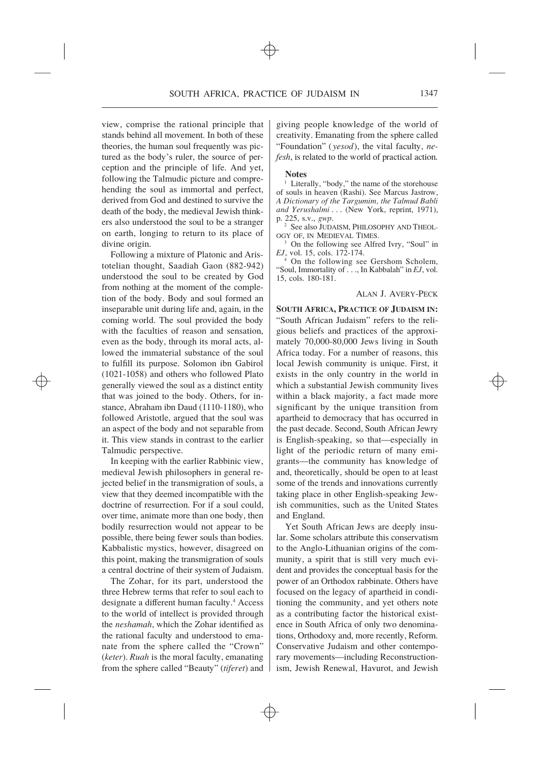view, comprise the rational principle that stands behind all movement. In both of these theories, the human soul frequently was pictured as the body's ruler, the source of perception and the principle of life. And yet, following the Talmudic picture and comprehending the soul as immortal and perfect, derived from God and destined to survive the death of the body, the medieval Jewish thinkers also understood the soul to be a stranger on earth, longing to return to its place of divine origin.

Following a mixture of Platonic and Aristotelian thought, Saadiah Gaon (882-942) understood the soul to be created by God from nothing at the moment of the completion of the body. Body and soul formed an inseparable unit during life and, again, in the coming world. The soul provided the body with the faculties of reason and sensation, even as the body, through its moral acts, allowed the immaterial substance of the soul to fulfill its purpose. Solomon ibn Gabirol (1021-1058) and others who followed Plato generally viewed the soul as a distinct entity that was joined to the body. Others, for instance, Abraham ibn Daud (1110-1180), who followed Aristotle, argued that the soul was an aspect of the body and not separable from it. This view stands in contrast to the earlier Talmudic perspective.

In keeping with the earlier Rabbinic view, medieval Jewish philosophers in general rejected belief in the transmigration of souls, a view that they deemed incompatible with the doctrine of resurrection. For if a soul could, over time, animate more than one body, then bodily resurrection would not appear to be possible, there being fewer souls than bodies. Kabbalistic mystics, however, disagreed on this point, making the transmigration of souls a central doctrine of their system of Judaism.

The Zohar, for its part, understood the three Hebrew terms that refer to soul each to designate a different human faculty.4 Access to the world of intellect is provided through the *neshamah*, which the Zohar identified as the rational faculty and understood to emanate from the sphere called the "Crown" (*keter*). *Ruah* is the moral faculty, emanating from the sphere called "Beauty" (*tiferet*) and

giving people knowledge of the world of creativity. Emanating from the sphere called "Foundation" ( *yesod*), the vital faculty, *nefesh*, is related to the world of practical action.

## **Notes**

Literally, "body," the name of the storehouse of souls in heaven (Rashi). See Marcus Jastrow, *A Dictionary of the Targumim, the Talmud Babli and Yerushalmi* . . . (New York, reprint, 1971), p. 225, s.v., *gwp*.

<sup>2</sup> See also JUDAISM, PHILOSOPHY AND THEOL-OGY OF, IN MEDIEVAL TIMES.

<sup>3</sup> On the following see Alfred Ivry, "Soul" in *EJ*, vol. 15, cols. 172-174.

<sup>4</sup> On the following see Gershom Scholem, "Soul, Immortality of . . ., In Kabbalah" in *EJ*, vol. 15, cols. 180-181.

#### ALAN J. AVERY-PECK

**SOUTH AFRICA, PRACTICE OF JUDAISM IN:** "South African Judaism" refers to the religious beliefs and practices of the approximately 70,000-80,000 Jews living in South Africa today. For a number of reasons, this local Jewish community is unique. First, it exists in the only country in the world in which a substantial Jewish community lives within a black majority, a fact made more significant by the unique transition from apartheid to democracy that has occurred in the past decade. Second, South African Jewry is English-speaking, so that—especially in light of the periodic return of many emigrants—the community has knowledge of and, theoretically, should be open to at least some of the trends and innovations currently taking place in other English-speaking Jewish communities, such as the United States and England.

Yet South African Jews are deeply insular. Some scholars attribute this conservatism to the Anglo-Lithuanian origins of the community, a spirit that is still very much evident and provides the conceptual basis for the power of an Orthodox rabbinate. Others have focused on the legacy of apartheid in conditioning the community, and yet others note as a contributing factor the historical existence in South Africa of only two denominations, Orthodoxy and, more recently, Reform. Conservative Judaism and other contemporary movements—including Reconstructionism, Jewish Renewal, Havurot, and Jewish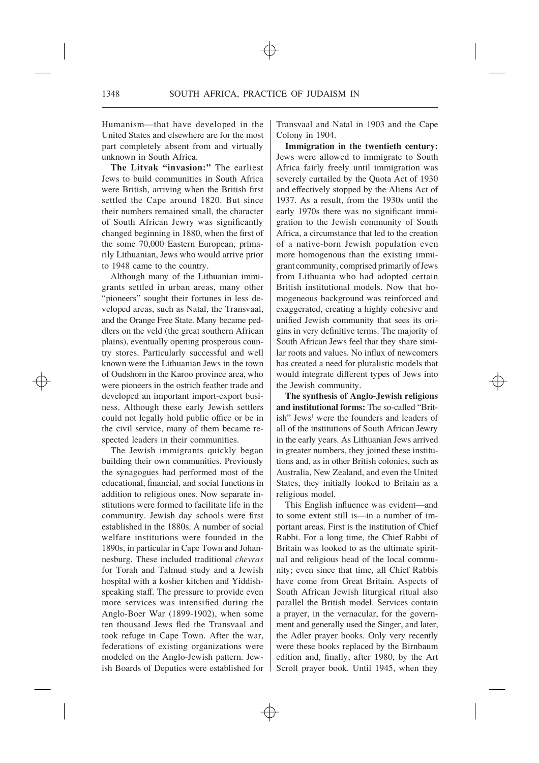Humanism—that have developed in the United States and elsewhere are for the most part completely absent from and virtually unknown in South Africa.

**The Litvak "invasion:"** The earliest Jews to build communities in South Africa were British, arriving when the British first settled the Cape around 1820. But since their numbers remained small, the character of South African Jewry was significantly changed beginning in 1880, when the first of the some 70,000 Eastern European, primarily Lithuanian, Jews who would arrive prior to 1948 came to the country.

Although many of the Lithuanian immigrants settled in urban areas, many other "pioneers" sought their fortunes in less developed areas, such as Natal, the Transvaal, and the Orange Free State. Many became peddlers on the veld (the great southern African plains), eventually opening prosperous country stores. Particularly successful and well known were the Lithuanian Jews in the town of Oudshorn in the Karoo province area, who were pioneers in the ostrich feather trade and developed an important import-export business. Although these early Jewish settlers could not legally hold public office or be in the civil service, many of them became respected leaders in their communities.

The Jewish immigrants quickly began building their own communities. Previously the synagogues had performed most of the educational, financial, and social functions in addition to religious ones. Now separate institutions were formed to facilitate life in the community. Jewish day schools were first established in the 1880s. A number of social welfare institutions were founded in the 1890s, in particular in Cape Town and Johannesburg. These included traditional *chevras* for Torah and Talmud study and a Jewish hospital with a kosher kitchen and Yiddishspeaking staff. The pressure to provide even more services was intensified during the Anglo-Boer War (1899-1902), when some ten thousand Jews fled the Transvaal and took refuge in Cape Town. After the war, federations of existing organizations were modeled on the Anglo-Jewish pattern. Jewish Boards of Deputies were established for

Transvaal and Natal in 1903 and the Cape Colony in 1904.

**Immigration in the twentieth century:** Jews were allowed to immigrate to South Africa fairly freely until immigration was severely curtailed by the Quota Act of 1930 and effectively stopped by the Aliens Act of 1937. As a result, from the 1930s until the early 1970s there was no significant immigration to the Jewish community of South Africa, a circumstance that led to the creation of a native-born Jewish population even more homogenous than the existing immigrant community, comprised primarily of Jews from Lithuania who had adopted certain British institutional models. Now that homogeneous background was reinforced and exaggerated, creating a highly cohesive and unified Jewish community that sees its origins in very definitive terms. The majority of South African Jews feel that they share similar roots and values. No influx of newcomers has created a need for pluralistic models that would integrate different types of Jews into the Jewish community.

**The synthesis of Anglo-Jewish religions and institutional forms:** The so-called "British" Jews<sup>1</sup> were the founders and leaders of all of the institutions of South African Jewry in the early years. As Lithuanian Jews arrived in greater numbers, they joined these institutions and, as in other British colonies, such as Australia, New Zealand, and even the United States, they initially looked to Britain as a religious model.

This English influence was evident—and to some extent still is—in a number of important areas. First is the institution of Chief Rabbi. For a long time, the Chief Rabbi of Britain was looked to as the ultimate spiritual and religious head of the local community; even since that time, all Chief Rabbis have come from Great Britain. Aspects of South African Jewish liturgical ritual also parallel the British model. Services contain a prayer, in the vernacular, for the government and generally used the Singer, and later, the Adler prayer books. Only very recently were these books replaced by the Birnbaum edition and, finally, after 1980, by the Art Scroll prayer book. Until 1945, when they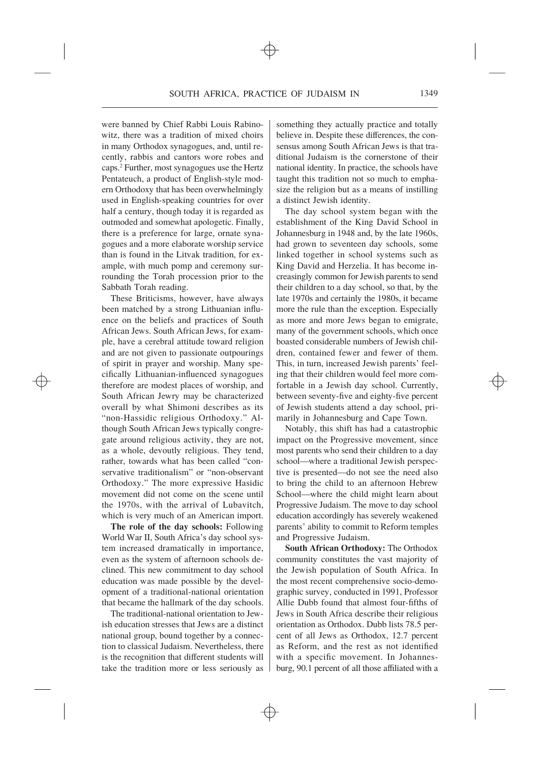were banned by Chief Rabbi Louis Rabinowitz, there was a tradition of mixed choirs in many Orthodox synagogues, and, until recently, rabbis and cantors wore robes and caps.2 Further, most synagogues use the Hertz Pentateuch, a product of English-style modern Orthodoxy that has been overwhelmingly used in English-speaking countries for over half a century, though today it is regarded as outmoded and somewhat apologetic. Finally, there is a preference for large, ornate synagogues and a more elaborate worship service than is found in the Litvak tradition, for example, with much pomp and ceremony surrounding the Torah procession prior to the Sabbath Torah reading.

These Briticisms, however, have always been matched by a strong Lithuanian influence on the beliefs and practices of South African Jews. South African Jews, for example, have a cerebral attitude toward religion and are not given to passionate outpourings of spirit in prayer and worship. Many specifically Lithuanian-influenced synagogues therefore are modest places of worship, and South African Jewry may be characterized overall by what Shimoni describes as its "non-Hassidic religious Orthodoxy." Although South African Jews typically congregate around religious activity, they are not, as a whole, devoutly religious. They tend, rather, towards what has been called "conservative traditionalism" or "non-observant Orthodoxy." The more expressive Hasidic movement did not come on the scene until the 1970s, with the arrival of Lubavitch, which is very much of an American import.

**The role of the day schools:** Following World War II, South Africa's day school system increased dramatically in importance, even as the system of afternoon schools declined. This new commitment to day school education was made possible by the development of a traditional-national orientation that became the hallmark of the day schools.

The traditional-national orientation to Jewish education stresses that Jews are a distinct national group, bound together by a connection to classical Judaism. Nevertheless, there is the recognition that different students will take the tradition more or less seriously as

something they actually practice and totally believe in. Despite these differences, the consensus among South African Jews is that traditional Judaism is the cornerstone of their national identity. In practice, the schools have taught this tradition not so much to emphasize the religion but as a means of instilling a distinct Jewish identity.

The day school system began with the establishment of the King David School in Johannesburg in 1948 and, by the late 1960s, had grown to seventeen day schools, some linked together in school systems such as King David and Herzelia. It has become increasingly common for Jewish parents to send their children to a day school, so that, by the late 1970s and certainly the 1980s, it became more the rule than the exception. Especially as more and more Jews began to emigrate, many of the government schools, which once boasted considerable numbers of Jewish children, contained fewer and fewer of them. This, in turn, increased Jewish parents' feeling that their children would feel more comfortable in a Jewish day school. Currently, between seventy-five and eighty-five percent of Jewish students attend a day school, primarily in Johannesburg and Cape Town.

Notably, this shift has had a catastrophic impact on the Progressive movement, since most parents who send their children to a day school—where a traditional Jewish perspective is presented—do not see the need also to bring the child to an afternoon Hebrew School—where the child might learn about Progressive Judaism. The move to day school education accordingly has severely weakened parents' ability to commit to Reform temples and Progressive Judaism.

**South African Orthodoxy:** The Orthodox community constitutes the vast majority of the Jewish population of South Africa. In the most recent comprehensive socio-demographic survey, conducted in 1991, Professor Allie Dubb found that almost four-fifths of Jews in South Africa describe their religious orientation as Orthodox. Dubb lists 78.5 percent of all Jews as Orthodox, 12.7 percent as Reform, and the rest as not identified with a specific movement. In Johannesburg, 90.1 percent of all those affiliated with a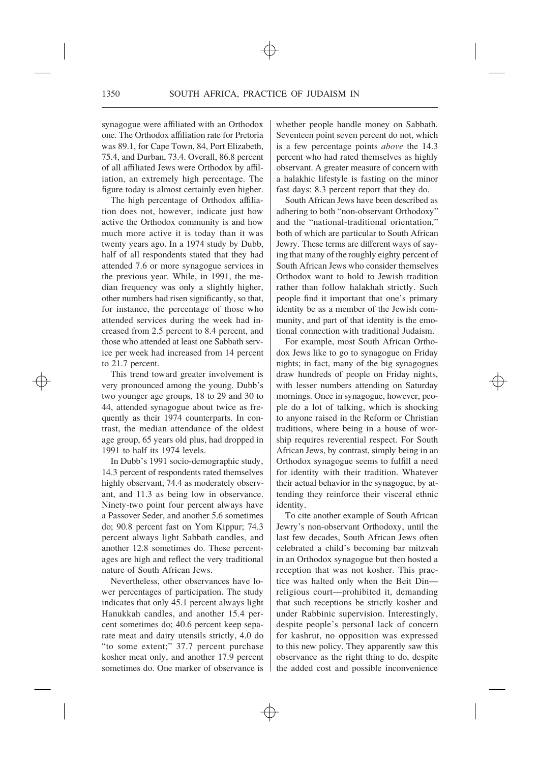synagogue were affiliated with an Orthodox one. The Orthodox affiliation rate for Pretoria was 89.1, for Cape Town, 84, Port Elizabeth, 75.4, and Durban, 73.4. Overall, 86.8 percent of all affiliated Jews were Orthodox by affiliation, an extremely high percentage. The figure today is almost certainly even higher.

The high percentage of Orthodox affiliation does not, however, indicate just how active the Orthodox community is and how much more active it is today than it was twenty years ago. In a 1974 study by Dubb, half of all respondents stated that they had attended 7.6 or more synagogue services in the previous year. While, in 1991, the median frequency was only a slightly higher, other numbers had risen significantly, so that, for instance, the percentage of those who attended services during the week had increased from 2.5 percent to 8.4 percent, and those who attended at least one Sabbath service per week had increased from 14 percent to 21.7 percent.

This trend toward greater involvement is very pronounced among the young. Dubb's two younger age groups, 18 to 29 and 30 to 44, attended synagogue about twice as frequently as their 1974 counterparts. In contrast, the median attendance of the oldest age group, 65 years old plus, had dropped in 1991 to half its 1974 levels.

In Dubb's 1991 socio-demographic study, 14.3 percent of respondents rated themselves highly observant, 74.4 as moderately observant, and 11.3 as being low in observance. Ninety-two point four percent always have a Passover Seder, and another 5.6 sometimes do; 90.8 percent fast on Yom Kippur; 74.3 percent always light Sabbath candles, and another 12.8 sometimes do. These percentages are high and reflect the very traditional nature of South African Jews.

Nevertheless, other observances have lower percentages of participation. The study indicates that only 45.1 percent always light Hanukkah candles, and another 15.4 percent sometimes do; 40.6 percent keep separate meat and dairy utensils strictly, 4.0 do "to some extent;" 37.7 percent purchase kosher meat only, and another 17.9 percent sometimes do. One marker of observance is

whether people handle money on Sabbath. Seventeen point seven percent do not, which is a few percentage points *above* the 14.3 percent who had rated themselves as highly observant. A greater measure of concern with a halakhic lifestyle is fasting on the minor fast days: 8.3 percent report that they do.

South African Jews have been described as adhering to both "non-observant Orthodoxy" and the "national-traditional orientation," both of which are particular to South African Jewry. These terms are different ways of saying that many of the roughly eighty percent of South African Jews who consider themselves Orthodox want to hold to Jewish tradition rather than follow halakhah strictly. Such people find it important that one's primary identity be as a member of the Jewish community, and part of that identity is the emotional connection with traditional Judaism.

For example, most South African Orthodox Jews like to go to synagogue on Friday nights; in fact, many of the big synagogues draw hundreds of people on Friday nights, with lesser numbers attending on Saturday mornings. Once in synagogue, however, people do a lot of talking, which is shocking to anyone raised in the Reform or Christian traditions, where being in a house of worship requires reverential respect. For South African Jews, by contrast, simply being in an Orthodox synagogue seems to fulfill a need for identity with their tradition. Whatever their actual behavior in the synagogue, by attending they reinforce their visceral ethnic identity.

To cite another example of South African Jewry's non-observant Orthodoxy, until the last few decades, South African Jews often celebrated a child's becoming bar mitzvah in an Orthodox synagogue but then hosted a reception that was not kosher. This practice was halted only when the Beit Din religious court—prohibited it, demanding that such receptions be strictly kosher and under Rabbinic supervision. Interestingly, despite people's personal lack of concern for kashrut, no opposition was expressed to this new policy. They apparently saw this observance as the right thing to do, despite the added cost and possible inconvenience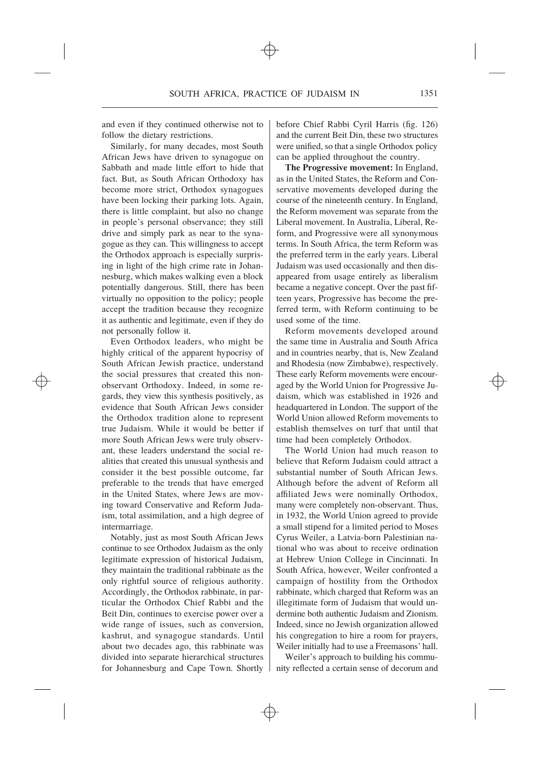and even if they continued otherwise not to follow the dietary restrictions.

Similarly, for many decades, most South African Jews have driven to synagogue on Sabbath and made little effort to hide that fact. But, as South African Orthodoxy has become more strict, Orthodox synagogues have been locking their parking lots. Again, there is little complaint, but also no change in people's personal observance; they still drive and simply park as near to the synagogue as they can. This willingness to accept the Orthodox approach is especially surprising in light of the high crime rate in Johannesburg, which makes walking even a block potentially dangerous. Still, there has been virtually no opposition to the policy; people accept the tradition because they recognize it as authentic and legitimate, even if they do not personally follow it.

Even Orthodox leaders, who might be highly critical of the apparent hypocrisy of South African Jewish practice, understand the social pressures that created this nonobservant Orthodoxy. Indeed, in some regards, they view this synthesis positively, as evidence that South African Jews consider the Orthodox tradition alone to represent true Judaism. While it would be better if more South African Jews were truly observant, these leaders understand the social realities that created this unusual synthesis and consider it the best possible outcome, far preferable to the trends that have emerged in the United States, where Jews are moving toward Conservative and Reform Judaism, total assimilation, and a high degree of intermarriage.

Notably, just as most South African Jews continue to see Orthodox Judaism as the only legitimate expression of historical Judaism, they maintain the traditional rabbinate as the only rightful source of religious authority. Accordingly, the Orthodox rabbinate, in particular the Orthodox Chief Rabbi and the Beit Din, continues to exercise power over a wide range of issues, such as conversion, kashrut, and synagogue standards. Until about two decades ago, this rabbinate was divided into separate hierarchical structures for Johannesburg and Cape Town. Shortly

before Chief Rabbi Cyril Harris (fig. 126) and the current Beit Din, these two structures were unified, so that a single Orthodox policy can be applied throughout the country.

**The Progressive movement:** In England, as in the United States, the Reform and Conservative movements developed during the course of the nineteenth century. In England, the Reform movement was separate from the Liberal movement. In Australia, Liberal, Reform, and Progressive were all synonymous terms. In South Africa, the term Reform was the preferred term in the early years. Liberal Judaism was used occasionally and then disappeared from usage entirely as liberalism became a negative concept. Over the past fifteen years, Progressive has become the preferred term, with Reform continuing to be used some of the time.

Reform movements developed around the same time in Australia and South Africa and in countries nearby, that is, New Zealand and Rhodesia (now Zimbabwe), respectively. These early Reform movements were encouraged by the World Union for Progressive Judaism, which was established in 1926 and headquartered in London. The support of the World Union allowed Reform movements to establish themselves on turf that until that time had been completely Orthodox.

The World Union had much reason to believe that Reform Judaism could attract a substantial number of South African Jews. Although before the advent of Reform all affiliated Jews were nominally Orthodox, many were completely non-observant. Thus, in 1932, the World Union agreed to provide a small stipend for a limited period to Moses Cyrus Weiler, a Latvia-born Palestinian national who was about to receive ordination at Hebrew Union College in Cincinnati. In South Africa, however, Weiler confronted a campaign of hostility from the Orthodox rabbinate, which charged that Reform was an illegitimate form of Judaism that would undermine both authentic Judaism and Zionism. Indeed, since no Jewish organization allowed his congregation to hire a room for prayers, Weiler initially had to use a Freemasons' hall.

Weiler's approach to building his community reflected a certain sense of decorum and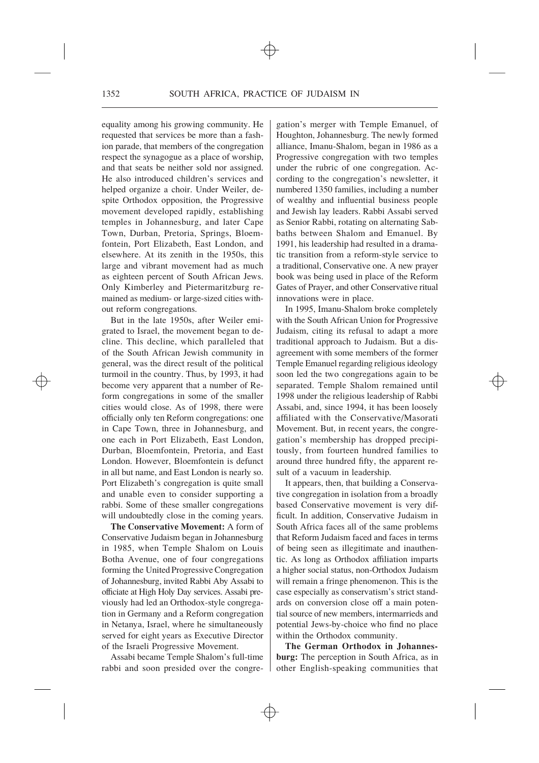equality among his growing community. He requested that services be more than a fashion parade, that members of the congregation respect the synagogue as a place of worship, and that seats be neither sold nor assigned. He also introduced children's services and helped organize a choir. Under Weiler, despite Orthodox opposition, the Progressive movement developed rapidly, establishing temples in Johannesburg, and later Cape Town, Durban, Pretoria, Springs, Bloemfontein, Port Elizabeth, East London, and elsewhere. At its zenith in the 1950s, this large and vibrant movement had as much as eighteen percent of South African Jews. Only Kimberley and Pietermaritzburg remained as medium- or large-sized cities without reform congregations.

But in the late 1950s, after Weiler emigrated to Israel, the movement began to decline. This decline, which paralleled that of the South African Jewish community in general, was the direct result of the political turmoil in the country. Thus, by 1993, it had become very apparent that a number of Reform congregations in some of the smaller cities would close. As of 1998, there were officially only ten Reform congregations: one in Cape Town, three in Johannesburg, and one each in Port Elizabeth, East London, Durban, Bloemfontein, Pretoria, and East London. However, Bloemfontein is defunct in all but name, and East London is nearly so. Port Elizabeth's congregation is quite small and unable even to consider supporting a rabbi. Some of these smaller congregations will undoubtedly close in the coming years.

**The Conservative Movement:** A form of Conservative Judaism began in Johannesburg in 1985, when Temple Shalom on Louis Botha Avenue, one of four congregations forming the United Progressive Congregation of Johannesburg, invited Rabbi Aby Assabi to officiate at High Holy Day services. Assabi previously had led an Orthodox-style congregation in Germany and a Reform congregation in Netanya, Israel, where he simultaneously served for eight years as Executive Director of the Israeli Progressive Movement.

Assabi became Temple Shalom's full-time rabbi and soon presided over the congre-

gation's merger with Temple Emanuel, of Houghton, Johannesburg. The newly formed alliance, Imanu-Shalom, began in 1986 as a Progressive congregation with two temples under the rubric of one congregation. According to the congregation's newsletter, it numbered 1350 families, including a number of wealthy and influential business people and Jewish lay leaders. Rabbi Assabi served as Senior Rabbi, rotating on alternating Sabbaths between Shalom and Emanuel. By 1991, his leadership had resulted in a dramatic transition from a reform-style service to a traditional, Conservative one. A new prayer book was being used in place of the Reform Gates of Prayer, and other Conservative ritual innovations were in place.

In 1995, Imanu-Shalom broke completely with the South African Union for Progressive Judaism, citing its refusal to adapt a more traditional approach to Judaism. But a disagreement with some members of the former Temple Emanuel regarding religious ideology soon led the two congregations again to be separated. Temple Shalom remained until 1998 under the religious leadership of Rabbi Assabi, and, since 1994, it has been loosely affiliated with the Conservative/Masorati Movement. But, in recent years, the congregation's membership has dropped precipitously, from fourteen hundred families to around three hundred fifty, the apparent result of a vacuum in leadership.

It appears, then, that building a Conservative congregation in isolation from a broadly based Conservative movement is very difficult. In addition, Conservative Judaism in South Africa faces all of the same problems that Reform Judaism faced and faces in terms of being seen as illegitimate and inauthentic. As long as Orthodox affiliation imparts a higher social status, non-Orthodox Judaism will remain a fringe phenomenon. This is the case especially as conservatism's strict standards on conversion close off a main potential source of new members, intermarrieds and potential Jews-by-choice who find no place within the Orthodox community.

**The German Orthodox in Johannesburg:** The perception in South Africa, as in other English-speaking communities that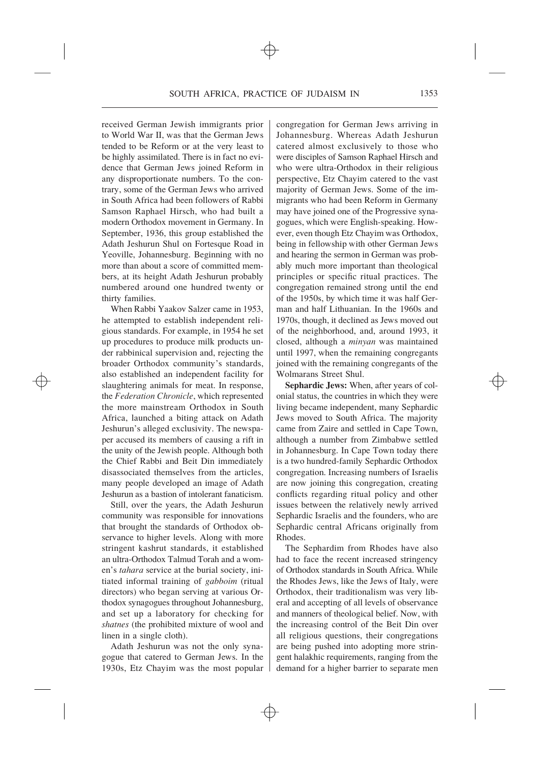received German Jewish immigrants prior to World War II, was that the German Jews tended to be Reform or at the very least to be highly assimilated. There is in fact no evidence that German Jews joined Reform in any disproportionate numbers. To the contrary, some of the German Jews who arrived in South Africa had been followers of Rabbi Samson Raphael Hirsch, who had built a modern Orthodox movement in Germany. In September, 1936, this group established the Adath Jeshurun Shul on Fortesque Road in Yeoville, Johannesburg. Beginning with no more than about a score of committed members, at its height Adath Jeshurun probably numbered around one hundred twenty or thirty families.

When Rabbi Yaakov Salzer came in 1953, he attempted to establish independent religious standards. For example, in 1954 he set up procedures to produce milk products under rabbinical supervision and, rejecting the broader Orthodox community's standards, also established an independent facility for slaughtering animals for meat. In response, the *Federation Chronicle*, which represented the more mainstream Orthodox in South Africa, launched a biting attack on Adath Jeshurun's alleged exclusivity. The newspaper accused its members of causing a rift in the unity of the Jewish people. Although both the Chief Rabbi and Beit Din immediately disassociated themselves from the articles, many people developed an image of Adath Jeshurun as a bastion of intolerant fanaticism.

Still, over the years, the Adath Jeshurun community was responsible for innovations that brought the standards of Orthodox observance to higher levels. Along with more stringent kashrut standards, it established an ultra-Orthodox Talmud Torah and a women's *tahara* service at the burial society, initiated informal training of *gabboim* (ritual directors) who began serving at various Orthodox synagogues throughout Johannesburg, and set up a laboratory for checking for *shatnes* (the prohibited mixture of wool and linen in a single cloth).

Adath Jeshurun was not the only synagogue that catered to German Jews. In the 1930s, Etz Chayim was the most popular

congregation for German Jews arriving in Johannesburg. Whereas Adath Jeshurun catered almost exclusively to those who were disciples of Samson Raphael Hirsch and who were ultra-Orthodox in their religious perspective, Etz Chayim catered to the vast majority of German Jews. Some of the immigrants who had been Reform in Germany may have joined one of the Progressive synagogues, which were English-speaking. However, even though Etz Chayim was Orthodox, being in fellowship with other German Jews and hearing the sermon in German was probably much more important than theological principles or specific ritual practices. The congregation remained strong until the end of the 1950s, by which time it was half German and half Lithuanian. In the 1960s and 1970s, though, it declined as Jews moved out of the neighborhood, and, around 1993, it closed, although a *minyan* was maintained until 1997, when the remaining congregants joined with the remaining congregants of the Wolmarans Street Shul.

**Sephardic Jews:** When, after years of colonial status, the countries in which they were living became independent, many Sephardic Jews moved to South Africa. The majority came from Zaire and settled in Cape Town, although a number from Zimbabwe settled in Johannesburg. In Cape Town today there is a two hundred-family Sephardic Orthodox congregation. Increasing numbers of Israelis are now joining this congregation, creating conflicts regarding ritual policy and other issues between the relatively newly arrived Sephardic Israelis and the founders, who are Sephardic central Africans originally from Rhodes.

The Sephardim from Rhodes have also had to face the recent increased stringency of Orthodox standards in South Africa. While the Rhodes Jews, like the Jews of Italy, were Orthodox, their traditionalism was very liberal and accepting of all levels of observance and manners of theological belief. Now, with the increasing control of the Beit Din over all religious questions, their congregations are being pushed into adopting more stringent halakhic requirements, ranging from the demand for a higher barrier to separate men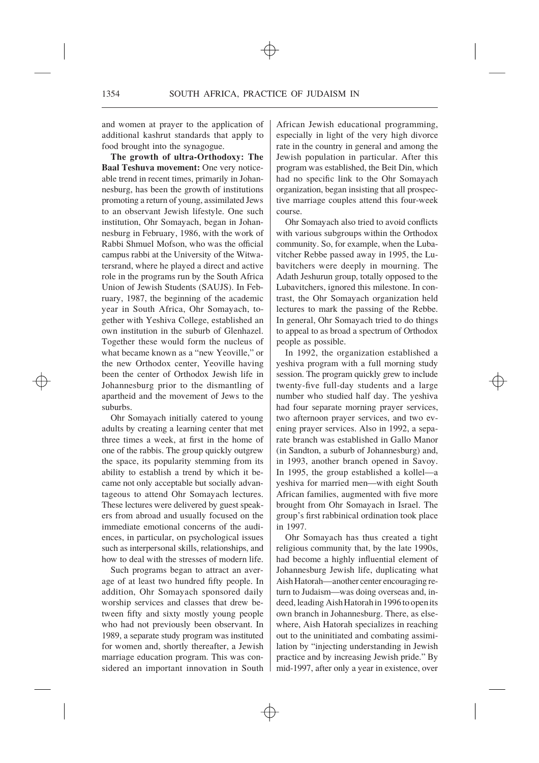and women at prayer to the application of additional kashrut standards that apply to food brought into the synagogue.

**The growth of ultra-Orthodoxy: The Baal Teshuva movement:** One very noticeable trend in recent times, primarily in Johannesburg, has been the growth of institutions promoting a return of young, assimilated Jews to an observant Jewish lifestyle. One such institution, Ohr Somayach, began in Johannesburg in February, 1986, with the work of Rabbi Shmuel Mofson, who was the official campus rabbi at the University of the Witwatersrand, where he played a direct and active role in the programs run by the South Africa Union of Jewish Students (SAUJS). In February, 1987, the beginning of the academic year in South Africa, Ohr Somayach, together with Yeshiva College, established an own institution in the suburb of Glenhazel. Together these would form the nucleus of what became known as a "new Yeoville," or the new Orthodox center, Yeoville having been the center of Orthodox Jewish life in Johannesburg prior to the dismantling of apartheid and the movement of Jews to the suburbs.

Ohr Somayach initially catered to young adults by creating a learning center that met three times a week, at first in the home of one of the rabbis. The group quickly outgrew the space, its popularity stemming from its ability to establish a trend by which it became not only acceptable but socially advantageous to attend Ohr Somayach lectures. These lectures were delivered by guest speakers from abroad and usually focused on the immediate emotional concerns of the audiences, in particular, on psychological issues such as interpersonal skills, relationships, and how to deal with the stresses of modern life.

Such programs began to attract an average of at least two hundred fifty people. In addition, Ohr Somayach sponsored daily worship services and classes that drew between fifty and sixty mostly young people who had not previously been observant. In 1989, a separate study program was instituted for women and, shortly thereafter, a Jewish marriage education program. This was considered an important innovation in South

African Jewish educational programming, especially in light of the very high divorce rate in the country in general and among the Jewish population in particular. After this program was established, the Beit Din, which had no specific link to the Ohr Somayach organization, began insisting that all prospective marriage couples attend this four-week course.

Ohr Somayach also tried to avoid conflicts with various subgroups within the Orthodox community. So, for example, when the Lubavitcher Rebbe passed away in 1995, the Lubavitchers were deeply in mourning. The Adath Jeshurun group, totally opposed to the Lubavitchers, ignored this milestone. In contrast, the Ohr Somayach organization held lectures to mark the passing of the Rebbe. In general, Ohr Somayach tried to do things to appeal to as broad a spectrum of Orthodox people as possible.

In 1992, the organization established a yeshiva program with a full morning study session. The program quickly grew to include twenty-five full-day students and a large number who studied half day. The yeshiva had four separate morning prayer services, two afternoon prayer services, and two evening prayer services. Also in 1992, a separate branch was established in Gallo Manor (in Sandton, a suburb of Johannesburg) and, in 1993, another branch opened in Savoy. In 1995, the group established a kollel—a yeshiva for married men—with eight South African families, augmented with five more brought from Ohr Somayach in Israel. The group's first rabbinical ordination took place in 1997.

Ohr Somayach has thus created a tight religious community that, by the late 1990s, had become a highly influential element of Johannesburg Jewish life, duplicating what Aish Hatorah—another center encouraging return to Judaism—was doing overseas and, indeed, leading Aish Hatorah in 1996 to open its own branch in Johannesburg. There, as elsewhere, Aish Hatorah specializes in reaching out to the uninitiated and combating assimilation by "injecting understanding in Jewish practice and by increasing Jewish pride." By mid-1997, after only a year in existence, over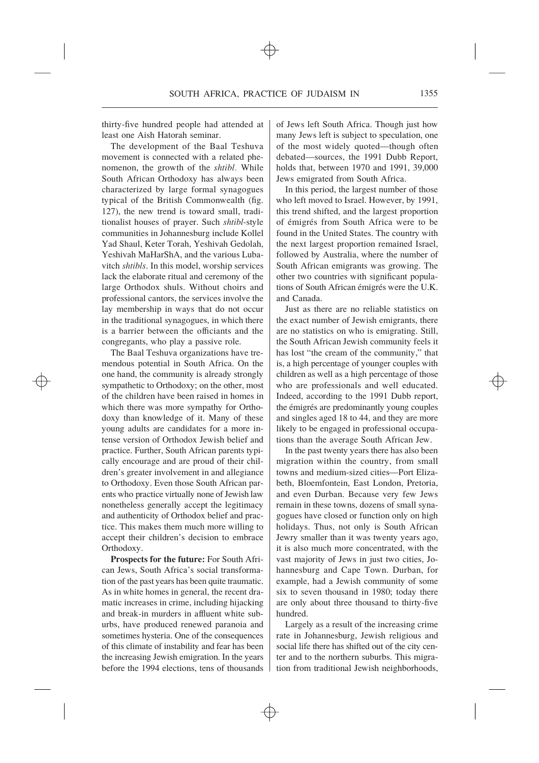thirty-five hundred people had attended at least one Aish Hatorah seminar.

The development of the Baal Teshuva movement is connected with a related phenomenon, the growth of the *shtibl.* While South African Orthodoxy has always been characterized by large formal synagogues typical of the British Commonwealth (fig. 127), the new trend is toward small, traditionalist houses of prayer. Such *shtibl*-style communities in Johannesburg include Kollel Yad Shaul, Keter Torah, Yeshivah Gedolah, Yeshivah MaHarShA, and the various Lubavitch *shtibls*. In this model, worship services lack the elaborate ritual and ceremony of the large Orthodox shuls. Without choirs and professional cantors, the services involve the lay membership in ways that do not occur in the traditional synagogues, in which there is a barrier between the officiants and the congregants, who play a passive role.

The Baal Teshuva organizations have tremendous potential in South Africa. On the one hand, the community is already strongly sympathetic to Orthodoxy; on the other, most of the children have been raised in homes in which there was more sympathy for Orthodoxy than knowledge of it. Many of these young adults are candidates for a more intense version of Orthodox Jewish belief and practice. Further, South African parents typically encourage and are proud of their children's greater involvement in and allegiance to Orthodoxy. Even those South African parents who practice virtually none of Jewish law nonetheless generally accept the legitimacy and authenticity of Orthodox belief and practice. This makes them much more willing to accept their children's decision to embrace Orthodoxy.

**Prospects for the future:** For South African Jews, South Africa's social transformation of the past years has been quite traumatic. As in white homes in general, the recent dramatic increases in crime, including hijacking and break-in murders in affluent white suburbs, have produced renewed paranoia and sometimes hysteria. One of the consequences of this climate of instability and fear has been the increasing Jewish emigration. In the years before the 1994 elections, tens of thousands

of Jews left South Africa. Though just how many Jews left is subject to speculation, one of the most widely quoted—though often debated—sources, the 1991 Dubb Report, holds that, between 1970 and 1991, 39,000 Jews emigrated from South Africa.

In this period, the largest number of those who left moved to Israel. However, by 1991, this trend shifted, and the largest proportion of émigrés from South Africa were to be found in the United States. The country with the next largest proportion remained Israel, followed by Australia, where the number of South African emigrants was growing. The other two countries with significant populations of South African émigrés were the U.K. and Canada.

Just as there are no reliable statistics on the exact number of Jewish emigrants, there are no statistics on who is emigrating. Still, the South African Jewish community feels it has lost "the cream of the community," that is, a high percentage of younger couples with children as well as a high percentage of those who are professionals and well educated. Indeed, according to the 1991 Dubb report, the émigrés are predominantly young couples and singles aged 18 to 44, and they are more likely to be engaged in professional occupations than the average South African Jew.

In the past twenty years there has also been migration within the country, from small towns and medium-sized cities—Port Elizabeth, Bloemfontein, East London, Pretoria, and even Durban. Because very few Jews remain in these towns, dozens of small synagogues have closed or function only on high holidays. Thus, not only is South African Jewry smaller than it was twenty years ago, it is also much more concentrated, with the vast majority of Jews in just two cities, Johannesburg and Cape Town. Durban, for example, had a Jewish community of some six to seven thousand in 1980; today there are only about three thousand to thirty-five hundred.

Largely as a result of the increasing crime rate in Johannesburg, Jewish religious and social life there has shifted out of the city center and to the northern suburbs. This migration from traditional Jewish neighborhoods,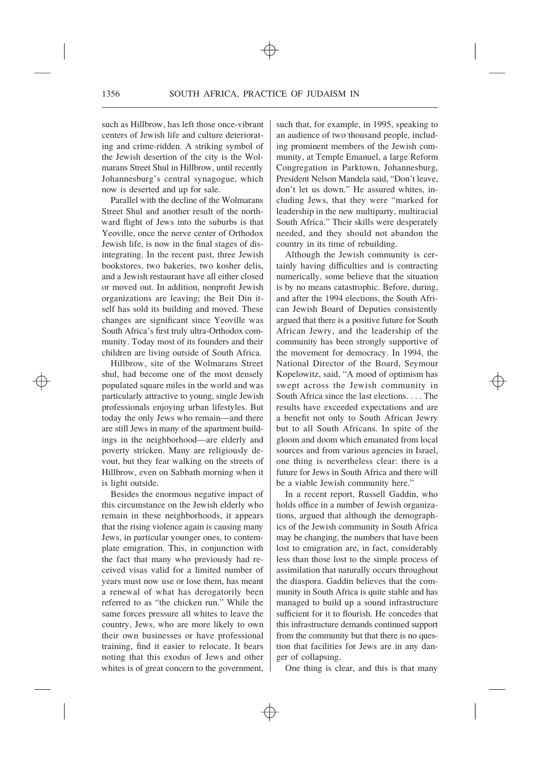such as Hillbrow, has left those once-vibrant centers of Jewish life and culture deteriorating and crime-ridden. A striking symbol of the Jewish desertion of the city is the Wolmarans Street Shul in Hillbrow, until recently Johannesburg's central synagogue, which now is deserted and up for sale.

Parallel with the decline of the Wolmarans Street Shul and another result of the northward flight of Jews into the suburbs is that Yeoville, once the nerve center of Orthodox Jewish life, is now in the final stages of disintegrating. In the recent past, three Jewish bookstores, two bakeries, two kosher delis, and a Jewish restaurant have all either closed or moved out. In addition, nonprofit Jewish organizations are leaving; the Beit Din itself has sold its building and moved. These changes are significant since Yeoville was South Africa's first truly ultra-Orthodox community. Today most of its founders and their children are living outside of South Africa.

Hillbrow, site of the Wolmarans Street shul, had become one of the most densely populated square miles in the world and was particularly attractive to young, single Jewish professionals enjoying urban lifestyles. But today the only Jews who remain—and there are still Jews in many of the apartment buildings in the neighborhood—are elderly and poverty stricken. Many are religiously devout, but they fear walking on the streets of Hillbrow, even on Sabbath morning when it is light outside.

Besides the enormous negative impact of this circumstance on the Jewish elderly who remain in these neighborhoods, it appears that the rising violence again is causing many Jews, in particular younger ones, to contemplate emigration. This, in conjunction with the fact that many who previously had received visas valid for a limited number of years must now use or lose them, has meant a renewal of what has derogatorily been referred to as "the chicken run." While the same forces pressure all whites to leave the country, Jews, who are more likely to own their own businesses or have professional training, find it easier to relocate. It bears noting that this exodus of Jews and other whites is of great concern to the government,

such that, for example, in 1995, speaking to an audience of two thousand people, including prominent members of the Jewish community, at Temple Emanuel, a large Reform Congregation in Parktown, Johannesburg, President Nelson Mandela said, "Don't leave, don't let us down." He assured whites, including Jews, that they were "marked for leadership in the new multiparty, multiracial South Africa." Their skills were desperately needed, and they should not abandon the country in its time of rebuilding.

Although the Jewish community is certainly having difficulties and is contracting numerically, some believe that the situation is by no means catastrophic. Before, during, and after the 1994 elections, the South African Jewish Board of Deputies consistently argued that there is a positive future for South African Jewry, and the leadership of the community has been strongly supportive of the movement for democracy. In 1994, the National Director of the Board, Seymour Kopelowitz, said, "A mood of optimism has swept across the Jewish community in South Africa since the last elections. . . . The results have exceeded expectations and are a benefit not only to South African Jewry but to all South Africans. In spite of the gloom and doom which emanated from local sources and from various agencies in Israel, one thing is nevertheless clear: there is a future for Jews in South Africa and there will be a viable Jewish community here."

In a recent report, Russell Gaddin, who holds office in a number of Jewish organizations, argued that although the demographics of the Jewish community in South Africa may be changing, the numbers that have been lost to emigration are, in fact, considerably less than those lost to the simple process of assimilation that naturally occurs throughout the diaspora. Gaddin believes that the community in South Africa is quite stable and has managed to build up a sound infrastructure sufficient for it to flourish. He concedes that this infrastructure demands continued support from the community but that there is no question that facilities for Jews are in any danger of collapsing.

One thing is clear, and this is that many